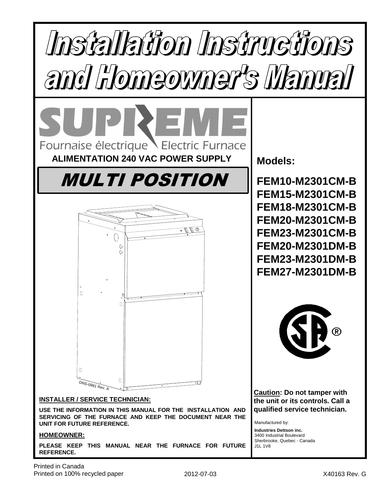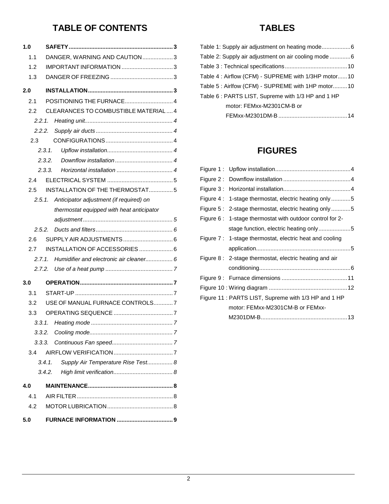# **TABLE OF CONTENTS**

| 1.0    |                                              |
|--------|----------------------------------------------|
| 1.1    | DANGER, WARNING AND CAUTION3                 |
| 1.2    |                                              |
| 1.3    |                                              |
| 2.0    |                                              |
| 2.1    |                                              |
| 2.2    | CLEARANCES TO COMBUSTIBLE MATERIAL 4         |
| 2.2.1. |                                              |
| 2.2.2. |                                              |
| 2.3    |                                              |
|        | 2.3.1.                                       |
|        | 2.3.2.                                       |
|        | 2.3.3.                                       |
| 2.4    |                                              |
| 2.5    | INSTALLATION OF THE THERMOSTAT5              |
| 2.5.1. | Anticipator adjustment (if required) on      |
|        | thermostat equipped with heat anticipator    |
|        |                                              |
| 2.5.2. |                                              |
| 2.6    |                                              |
| 2.7    |                                              |
| 2.7.1. | Humidifier and electronic air cleaner 6      |
|        | 2.7.2.                                       |
| 3.0    |                                              |
| 3.1    |                                              |
| 3.2    | USE OF MANUAL FURNACE CONTROLS7              |
| 3.3    |                                              |
| 3.3.1. |                                              |
| 3.3.2. |                                              |
| 3.3.3. |                                              |
| 3.4    |                                              |
|        | 3.4.1.<br>Supply Air Temperature Rise Test 8 |
|        | 3.4.2.                                       |
| 4.0    |                                              |
| 4.1    |                                              |
| 4.2    |                                              |
| 5.0    |                                              |

## **TABLES**

| Table 2: Supply air adjustment on air cooling mode6  |
|------------------------------------------------------|
|                                                      |
| Table 4 : Airflow (CFM) - SUPREME with 1/3HP motor10 |
| Table 5: Airlfow (CFM) - SUPREME with 1HP motor10    |
| Table 6: PARTS LIST, Supreme with 1/3 HP and 1 HP    |
| motor: FEMxx-M2301CM-B or                            |
|                                                      |

## **FIGURES**

| Figure 4: 1-stage thermostat, electric heating only5     |
|----------------------------------------------------------|
| Figure 5: 2-stage thermostat, electric heating only 5    |
| Figure 6: 1-stage thermostat with outdoor control for 2- |
| stage function, electric heating only5                   |
| Figure 7: 1-stage thermostat, electric heat and cooling  |
|                                                          |
| Figure 8: 2-stage thermostat, electric heating and air   |
|                                                          |
|                                                          |
|                                                          |
| Figure 11 : PARTS LIST, Supreme with 1/3 HP and 1 HP     |
| motor: FEMxx-M2301CM-B or FEMxx-                         |
|                                                          |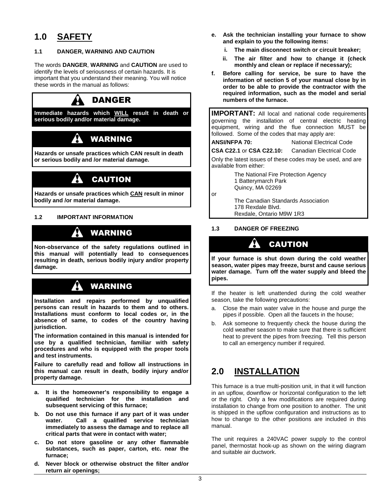## **1.0 SAFETY**

## **1.1 DANGER, WARNING AND CAUTION**

The words **DANGER**, **WARNING** and **CAUTION** are used to identify the levels of seriousness of certain hazards. It is important that you understand their meaning. You will notice these words in the manual as follows:



# WARNING

**Hazards or unsafe practices which CAN result in death or serious bodily and /or material damage.** 

# **CAUTION**

**Hazards or unsafe practices which CAN result in minor bodily and /or material damage.** 

## **1.2 IMPORTANT INFORMATION**

## WARNING

**Non-observance of the safety regulations outlined in this manual will potentially lead to consequences resulting in death, serious bodily injury and/or property damage.** 

# WARNING

**Installation and repairs performed by unqualified persons can result in hazards to them and to others. Installations must conform to local codes or, in the absence of same, to codes of the country having jurisdiction.** 

**The information contained in this manual is intended for use by a qualified technician, familiar with safety procedures and who is equipped with the proper tools and test instruments.** 

**Failure to carefully read and follow all instructions in this manual can result in death, bodily injury and/or property damage.** 

- **a. It is the homeowner's responsibility to engage a qualified technician for the installation and subsequent servicing of this furnace;**
- **b. Do not use this furnace if any part of it was under water. Call a qualified service technician immediately to assess the damage and to replace all critical parts that were in contact with water;**
- **c. Do not store gasoline or any other flammable substances, such as paper, carton, etc. near the furnace;**
- **d. Never block or otherwise obstruct the filter and/or return air openings;**
- **e. Ask the technician installing your furnace to show and explain to you the following items:** 
	- **i. The main disconnect switch or circuit breaker;**
	- **ii. The air filter and how to change it (check monthly and clean or replace if necessary);**
- **f. Before calling for service, be sure to have the information of section 5 of your manual close by in order to be able to provide the contractor with the required information, such as the model and serial numbers of the furnace.**

**IMPORTANT:** All local and national code requirements governing the installation of central electric heating equipment, wiring and the flue connection MUST be followed. Some of the codes that may apply are:

## **ANSI/NFPA 70:** National Electrical Code

**CSA C22.1** or **CSA C22.10:** Canadian Electrical Code

Only the latest issues of these codes may be used, and are available from either:

> The National Fire Protection Agency 1 Batterymarch Park Quincy, MA 02269

or

 The Canadian Standards Association 178 Rexdale Blvd. Rexdale, Ontario M9W 1R3

## **1.3 DANGER OF FREEZING**

# CAUTION

**If your furnace is shut down during the cold weather season, water pipes may freeze, burst and cause serious water damage. Turn off the water supply and bleed the pipes.** 

If the heater is left unattended during the cold weather season, take the following precautions:

- a. Close the main water valve in the house and purge the pipes if possible. Open all the faucets in the house;
- b. Ask someone to frequently check the house during the cold weather season to make sure that there is sufficient heat to prevent the pipes from freezing. Tell this person to call an emergency number if required.

## **2.0 INSTALLATION**

This furnace is a true multi-position unit, in that it will function in an upflow, downflow or horizontal configuration to the left or the right. Only a few modifications are required during installation to change from one position to another. The unit is shipped in the upflow configuration and instructions as to how to change to the other positions are included in this manual.

The unit requires a 240VAC power supply to the control panel, thermostat hook-up as shown on the wiring diagram and suitable air ductwork.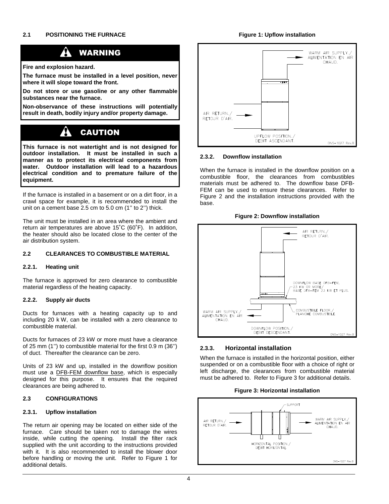### **Figure 1: Upflow installation**

#### A WARNING

**Fire and explosion hazard.** 

**The furnace must be installed in a level position, never where it will slope toward the front.** 

**Do not store or use gasoline or any other flammable substances near the furnace.** 

**Non-observance of these instructions will potentially result in death, bodily injury and/or property damage.** 

#### $\boldsymbol{A}$ CAUTION

**This furnace is not watertight and is not designed for outdoor installation. It must be installed in such a manner as to protect its electrical components from water. Outdoor installation will lead to a hazardous electrical condition and to premature failure of the equipment.** 

If the furnace is installed in a basement or on a dirt floor, in a crawl space for example, it is recommended to install the unit on a cement base 2.5 cm to 5.0 cm (1" to 2") thick.

The unit must be installed in an area where the ambient and return air temperatures are above 15˚C (60˚F). In addition, the heater should also be located close to the center of the air distribution system.

### **2.2 CLEARANCES TO COMBUSTIBLE MATERIAL**

#### **2.2.1. Heating unit**

The furnace is approved for zero clearance to combustible material regardless of the heating capacity.

#### **2.2.2. Supply air ducts**

Ducts for furnaces with a heating capacity up to and including 20 k W, can be installed with a zero clearance to combustible material.

Ducts for furnaces of 23 kW or more must have a clearance of 25 mm (1'') to combustible material for the first 0.9 m (36'') of duct. Thereafter the clearance can be zero.

Units of 23 kW and up, installed in the downflow position must use a DFB-FEM downflow base, which is especially designed for this purpose. It ensures that the required clearances are being adhered to.

#### **2.3 CONFIGURATIONS**

#### **2.3.1. Upflow installation**

The return air opening may be located on either side of the furnace. Care should be taken not to damage the wires inside, while cutting the opening. Install the filter rack supplied with the unit according to the instructions provided with it. It is also recommended to install the blower door before handling or moving the unit. Refer to Figure 1 for additional details.



#### **2.3.2. Downflow installation**

When the furnace is installed in the downflow position on a combustible floor, the clearances from combustibles materials must be adhered to. The downflow base DFB-FEM can be used to ensure these clearances. Refer to Figure 2 and the installation instructions provided with the base.





#### **2.3.3. Horizontal installation**

When the furnace is installed in the horizontal position, either suspended or on a combustible floor with a choice of right or left discharge, the clearances from combustible material must be adhered to. Refer to Figure 3 for additional details.

**Figure 3: Horizontal installation**

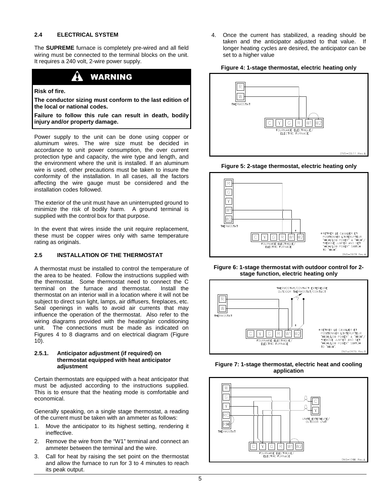### **2.4 ELECTRICAL SYSTEM**

The **SUPREME** furnace is completely pre-wired and all field wiring must be connected to the terminal blocks on the unit. It requires a 240 volt, 2-wire power supply.

## WARNING

#### **Risk of fire.**

**The conductor sizing must conform to the last edition of the local or national codes.** 

**Failure to follow this rule can result in death, bodily injury and/or property damage.** 

Power supply to the unit can be done using copper or aluminum wires. The wire size must be decided in accordance to unit power consumption, the over current protection type and capacity, the wire type and length, and the environment where the unit is installed. If an aluminum wire is used, other precautions must be taken to insure the conformity of the installation. In all cases, all the factors affecting the wire gauge must be considered and the installation codes followed.

The exterior of the unit must have an uninterrupted ground to minimize the risk of bodily harm. A ground terminal is supplied with the control box for that purpose.

In the event that wires inside the unit require replacement, these must be copper wires only with same temperature rating as originals.

#### **2.5 INSTALLATION OF THE THERMOSTAT**

A thermostat must be installed to control the temperature of the area to be heated. Follow the instructions supplied with the thermostat. Some thermostat need to connect the C terminal on the furnace and thermostat. Install the thermostat on an interior wall in a location where it will not be subject to direct sun light, lamps, air diffusers, fireplaces, etc. Seal openings in walls to avoid air currents that may influence the operation of the thermostat. Also refer to the wiring diagrams provided with the heating/air conditioning unit. The connections must be made as indicated on Figures 4 to 8 diagrams and on electrical diagram (Figure 10).

#### **2.5.1. Anticipator adjustment (if required) on thermostat equipped with heat anticipator adjustment**

Certain thermostats are equipped with a heat anticipator that must be adjusted according to the instructions supplied. This is to ensure that the heating mode is comfortable and economical.

Generally speaking, on a single stage thermostat, a reading of the current must be taken with an ammeter as follows:

- 1. Move the anticipator to its highest setting, rendering it ineffective.
- 2. Remove the wire from the "W1" terminal and connect an ammeter between the terminal and the wire.
- 3. Call for heat by raising the set point on the thermostat and allow the furnace to run for 3 to 4 minutes to reach its peak output.

4. Once the current has stabilized, a reading should be taken and the anticipator adjusted to that value. If longer heating cycles are desired, the anticipator can be set to a higher value

#### **Figure 4: 1-stage thermostat, electric heating only**







**Figure 6: 1-stage thermostat with outdoor control for 2 stage function, electric heating only** 



**Figure 7: 1-stage thermostat, electric heat and cooling application**

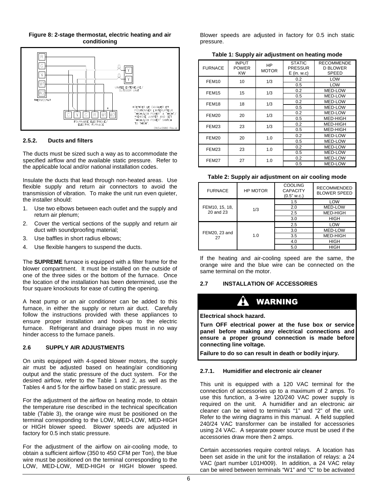### **Figure 8: 2-stage thermostat, electric heating and air conditioning**



## **2.5.2. Ducts and filters**

The ducts must be sized such a way as to accommodate the specified airflow and the available static pressure. Refer to the applicable local and/or national installation codes.

Insulate the ducts that lead through non-heated areas. Use flexible supply and return air connectors to avoid the transmission of vibration. To make the unit run even quieter, the installer should:

- 1. Use two elbows between each outlet and the supply and return air plenum;
- 2. Cover the vertical sections of the supply and return air duct with soundproofing material;
- 3. Use baffles in short radius elbows;
- 4. Use flexible hangers to suspend the ducts.

The **SUPREME** furnace is equipped with a filter frame for the blower compartment. It must be installed on the outside of one of the three sides or the bottom of the furnace. Once the location of the installation has been determined, use the four square knockouts for ease of cutting the opening.

A heat pump or an air conditioner can be added to this furnace, in either the supply or return air duct. Carefully follow the instructions provided with these appliances to ensure proper installation and hook-up to the electric furnace. Refrigerant and drainage pipes must in no way hinder access to the furnace panels.

#### **2.6 SUPPLY AIR ADJUSTMENTS**

On units equipped with 4-speed blower motors, the supply air must be adjusted based on heating/air conditioning output and the static pressure of the duct system. For the desired airflow, refer to the Table 1 and 2, as well as the Tables 4 and 5 for the airflow based on static pressure.

For the adjustment of the airflow on heating mode, to obtain the temperature rise described in the technical specification table (Table 3), the orange wire must be positioned on the terminal corresponding to the LOW, MED-LOW, MED-HIGH or HIGH blower speed. Blower speeds are adjusted in factory for 0.5 inch static pressure.

For the adjustment of the airflow on air-cooling mode, to obtain a sufficient airflow (350 to 450 CFM per Ton), the blue wire must be positioned on the terminal corresponding to the LOW, MED-LOW, MED-HIGH or HIGH blower speed.

Blower speeds are adjusted in factory for 0.5 inch static pressure.

**Table 1: Supply air adjustment on heating mode** 

| <b>FURNACE</b>    | <b>INPUT</b><br><b>POWER</b><br><b>KW</b> | HP<br><b>MOTOR</b> | <b>STATIC</b><br>PRESSUR<br>$E$ (in. w.c) | <b>RECOMMENDE</b><br><b>D BLOWER</b><br><b>SPEED</b> |
|-------------------|-------------------------------------------|--------------------|-------------------------------------------|------------------------------------------------------|
| FEM <sub>10</sub> | 10                                        | 1/3                | 0.2                                       | LOW                                                  |
|                   |                                           |                    | 0.5                                       | LOW                                                  |
| <b>FEM15</b>      | 15                                        | 1/3                | 0.2                                       | MED-LOW                                              |
|                   |                                           |                    | 0.5                                       | MED-LOW                                              |
| FEM <sub>18</sub> | 18                                        | 1/3                | 0.2                                       | MED-LOW                                              |
|                   |                                           |                    | 0.5                                       | MED-LOW                                              |
| <b>FEM20</b>      | 20                                        | 1/3                | 0.2                                       | MED-LOW                                              |
|                   |                                           |                    | 0.5                                       | MED-HIGH                                             |
| 23<br>FEM23       |                                           | 1/3                | 0.2                                       | MED-HIGH                                             |
|                   |                                           |                    | 0.5                                       | MED-HIGH                                             |
| <b>FEM20</b>      | 20                                        | 1.0                | 0.2                                       | MED-LOW                                              |
|                   |                                           |                    | 0.5                                       | MED-LOW                                              |
| FEM23             | 23                                        | 1.0                | 0.2                                       | MED-LOW                                              |
|                   |                                           |                    | 0.5                                       | MED-LOW                                              |
| <b>FEM27</b>      | 27                                        | 1.0                | 0.2                                       | MED-LOW                                              |
|                   |                                           |                    | 0.5                                       | MED-LOW                                              |

#### **Table 2: Supply air adjustment on air cooling mode**

| <b>FURNACE</b>      | <b>HP MOTOR</b> | <b>COOLING</b><br><b>CAPACITY</b><br>$(0.5"$ w.c.) | <b>RECOMMENDED</b><br><b>BLOWER SPEED</b> |
|---------------------|-----------------|----------------------------------------------------|-------------------------------------------|
|                     |                 | 1.5                                                | LOW                                       |
| FEM10, 15, 18,      | 1/3             | 2.0                                                | <b>MED-LOW</b>                            |
| 20 and 23           |                 | 2.5                                                | MED-HIGH                                  |
|                     |                 | 3.0                                                | <b>HIGH</b>                               |
|                     |                 | 2.5                                                | LOW                                       |
| FEM20, 23 and<br>27 |                 | 3.0                                                | <b>MED-LOW</b>                            |
|                     | 1.0             | 3.5                                                | MED-HIGH                                  |
|                     |                 | 4.0                                                | <b>HIGH</b>                               |
|                     |                 | 5.0                                                | <b>HIGH</b>                               |

If the heating and air-cooling speed are the same, the orange wire and the blue wire can be connected on the same terminal on the motor.

## **2.7 INSTALLATION OF ACCESSORIES**

## WARNING

**Electrical shock hazard.** 

**Turn OFF electrical power at the fuse box or service panel before making any electrical connections and ensure a proper ground connection is made before connecting line voltage.** 

**Failure to do so can result in death or bodily injury.** 

## **2.7.1. Humidifier and electronic air cleaner**

This unit is equipped with a 120 VAC terminal for the connection of accessories up to a maximum of 2 amps. To use this function, a 3-wire 120/240 VAC power supply is required on the unit. A humidifier and an electronic air cleaner can be wired to terminals "1" and "2" of the unit. Refer to the wiring diagrams in this manual. A field supplied 240/24 VAC transformer can be installed for accessories using 24 VAC. A separate power source must be used if the accessories draw more then 2 amps.

Certain accessories require control relays. A location has been set aside in the unit for the installation of relays: a 24 VAC (part number L01H009). In addition, a 24 VAC relay can be wired between terminals "W1" and "C" to be activated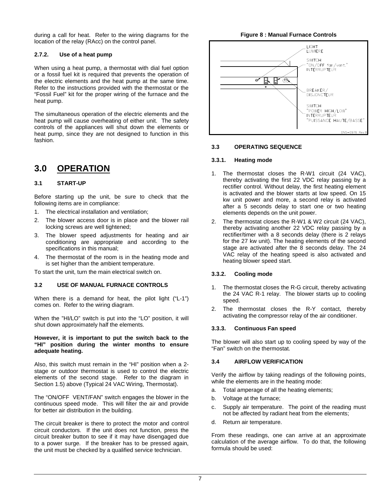during a call for heat. Refer to the wiring diagrams for the location of the relay (RAcc) on the control panel.

### **2.7.2. Use of a heat pump**

When using a heat pump, a thermostat with dial fuel option or a fossil fuel kit is required that prevents the operation of the electric elements and the heat pump at the same time. Refer to the instructions provided with the thermostat or the "Fossil Fuel" kit for the proper wiring of the furnace and the heat pump.

The simultaneous operation of the electric elements and the heat pump will cause overheating of either unit. The safety controls of the appliances will shut down the elements or heat pump, since they are not designed to function in this fashion.

## **3.0 OPERATION**

## **3.1 START-UP**

Before starting up the unit, be sure to check that the following items are in compliance:

- 1. The electrical installation and ventilation;
- 2. The blower access door is in place and the blower rail locking screws are well tightened;
- 3. The blower speed adjustments for heating and air conditioning are appropriate and according to the specifications in this manual;
- 4. The thermostat of the room is in the heating mode and is set higher than the ambient temperature.

To start the unit, turn the main electrical switch on.

#### **3.2 USE OF MANUAL FURNACE CONTROLS**

When there is a demand for heat, the pilot light ("L-1") comes on. Refer to the wiring diagram.

When the "HI/LO" switch is put into the "LO" position, it will shut down approximately half the elements.

**However, it is important to put the switch back to the "HI" position during the winter months to ensure adequate heating.** 

Also, this switch must remain in the "HI" position when a 2 stage or outdoor thermostat is used to control the electric elements of the second stage. Refer to the diagram in Section 1.5) above (Typical 24 VAC Wiring, Thermostat).

The "ON/OFF VENT/FAN" switch engages the blower in the continuous speed mode. This will filter the air and provide for better air distribution in the building.

The circuit breaker is there to protect the motor and control circuit conductors. If the unit does not function, press the circuit breaker button to see if it may have disengaged due to a power surge. If the breaker has to be pressed again, the unit must be checked by a qualified service technician.





### **3.3 OPERATING SEQUENCE**

#### **3.3.1. Heating mode**

- 1. The thermostat closes the R-W1 circuit (24 VAC), thereby activating the first 22 VDC relay passing by a rectifier control. Without delay, the first heating element is activated and the blower starts at low speed. On 15 kw unit power and more, a second relay is activated after a 5 seconds delay to start one or two heating elements depends on the unit power.
- 2. The thermostat closes the R-W1 & W2 circuit (24 VAC), thereby activating another 22 VDC relay passing by a rectifier/timer with a 8 seconds delay (there is 2 relays for the 27 kw unit). The heating elements of the second stage are activated after the 8 seconds delay. The 24 VAC relay of the heating speed is also activated and heating blower speed start.

#### **3.3.2. Cooling mode**

- 1. The thermostat closes the R-G circuit, thereby activating the 24 VAC R-1 relay. The blower starts up to cooling speed.
- 2. The thermostat closes the R-Y contact, thereby activating the compressor relay of the air conditioner.

#### **3.3.3. Continuous Fan speed**

The blower will also start up to cooling speed by way of the "Fan" switch on the thermostat.

### **3.4 AIRFLOW VERIFICATION**

Verify the airflow by taking readings of the following points, while the elements are in the heating mode:

- a. Total amperage of all the heating elements;
- b. Voltage at the furnace;
- c. Supply air temperature. The point of the reading must not be affected by radiant heat from the elements;
- d. Return air temperature.

From these readings, one can arrive at an approximate calculation of the average airflow. To do that, the following formula should be used: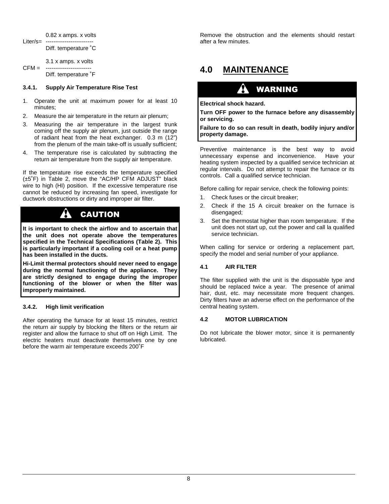0.82 x amps. x volts Liter/s= ---------------------

Diff. temperature ˚C

 3.1 x amps. x volts CFM = ------------------------ Diff. temperature ˚F

## **3.4.1. Supply Air Temperature Rise Test**

- 1. Operate the unit at maximum power for at least 10 minutes;
- 2. Measure the air temperature in the return air plenum;
- 3. Measuring the air temperature in the largest trunk coming off the supply air plenum, just outside the range of radiant heat from the heat exchanger. 0.3 m (12") from the plenum of the main take-off is usually sufficient;
- The temperature rise is calculated by subtracting the return air temperature from the supply air temperature.

If the temperature rise exceeds the temperature specified (±5˚F) in Table 2, move the "AC/HP CFM ADJUST" black wire to high (HI) position. If the excessive temperature rise cannot be reduced by increasing fan speed, investigate for ductwork obstructions or dirty and improper air filter.

#### A CAUTION

**It is important to check the airflow and to ascertain that the unit does not operate above the temperatures specified in the Technical Specifications (Table 2). This is particularly important if a cooling coil or a heat pump has been installed in the ducts.** 

**Hi-Limit thermal protectors should never need to engage during the normal functioning of the appliance. They are strictly designed to engage during the improper functioning of the blower or when the filter was improperly maintained.** 

## **3.4.2. High limit verification**

After operating the furnace for at least 15 minutes, restrict the return air supply by blocking the filters or the return air register and allow the furnace to shut off on High Limit. The electric heaters must deactivate themselves one by one before the warm air temperature exceeds 200˚F

Remove the obstruction and the elements should restart after a few minutes.

## **4.0 MAINTENANCE**

# WARNING

### **Electrical shock hazard.**

**Turn OFF power to the furnace before any disassembly or servicing.** 

**Failure to do so can result in death, bodily injury and/or property damage.** 

Preventive maintenance is the best way to avoid unnecessary expense and inconvenience. Have your heating system inspected by a qualified service technician at regular intervals. Do not attempt to repair the furnace or its controls. Call a qualified service technician.

Before calling for repair service, check the following points:

- 1. Check fuses or the circuit breaker;
- 2. Check if the 15 A circuit breaker on the furnace is disengaged;
- 3. Set the thermostat higher than room temperature. If the unit does not start up, cut the power and call la qualified service technician.

When calling for service or ordering a replacement part, specify the model and serial number of your appliance.

## **4.1 AIR FILTER**

The filter supplied with the unit is the disposable type and should be replaced twice a year. The presence of animal hair, dust, etc. may necessitate more frequent changes. Dirty filters have an adverse effect on the performance of the central heating system.

## **4.2 MOTOR LUBRICATION**

Do not lubricate the blower motor, since it is permanently lubricated.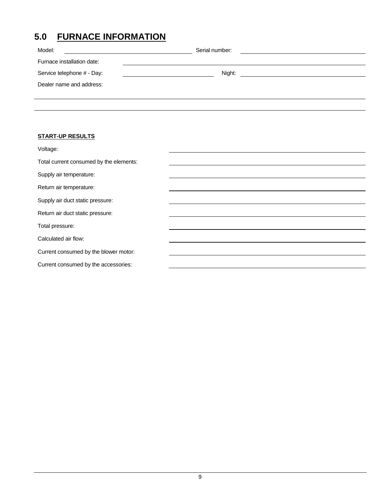# **5.0 FURNACE INFORMATION**

| Model:                     | Serial number: |  |
|----------------------------|----------------|--|
| Furnace installation date: |                |  |
| Service telephone # - Day: | Night:         |  |
| Dealer name and address:   |                |  |
|                            |                |  |

## **START-UP RESULTS**

| Voltage:                                |  |
|-----------------------------------------|--|
| Total current consumed by the elements: |  |
| Supply air temperature:                 |  |
| Return air temperature:                 |  |
| Supply air duct static pressure:        |  |
| Return air duct static pressure:        |  |
| Total pressure:                         |  |
| Calculated air flow:                    |  |
| Current consumed by the blower motor:   |  |
| Current consumed by the accessories:    |  |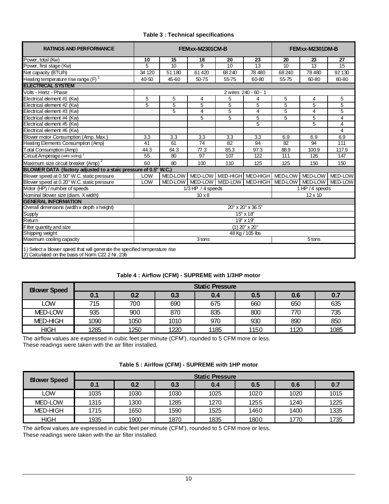| Table 3 : Technical specifications |  |
|------------------------------------|--|
|------------------------------------|--|

| <b>RATINGS AND PERFORMANCE</b>                                             |                  | FEMxx-M2301CM-B |                      |        |                              |                | FEMxx-M2301DM-B         |                |  |
|----------------------------------------------------------------------------|------------------|-----------------|----------------------|--------|------------------------------|----------------|-------------------------|----------------|--|
| Power, total (Kw)                                                          | 10               | 15              | 18                   | 20     | 23                           | 20             | 23                      | 27             |  |
| Power, first stage (Kw)                                                    | 5                | 10              | 9                    | 10     | 13                           | 10             | 13                      | 15             |  |
| Net capacity (BTU/h)                                                       | 34 120           | 51 180          | 61420                | 68 240 | 78 480                       | 68 240         | 78 480                  | 92 130         |  |
| Heating temperature rise range $(F)$ <sup>1</sup>                          | 40-50            | 45 60           | 50-75                | 55-75  | 60-80                        | 55-75          | 60-80                   | 60-80          |  |
| <b>ELECTRICAL SYSTEM</b>                                                   |                  |                 |                      |        |                              |                |                         |                |  |
| Volts - Hertz - Phase                                                      |                  |                 |                      |        | 2 wires 240 - 60 - 1         |                |                         |                |  |
| Electrical element #1 (Kw)                                                 | 5                | 5               | 4                    | 5      | 4                            | 5              | 4                       | 5              |  |
| Electrical element #2 (Kw)                                                 | 5                | 5               | 5                    | 5      | 5                            | $\overline{5}$ | 5                       | 5              |  |
| Electrical element #3 (Kw)                                                 |                  | 5               | 4                    | 5      | 4                            | 5              | 4                       | 5              |  |
| Electrical element #4 (Kw)                                                 |                  |                 | 5                    | 5      | 5                            | 5              | 5                       | 4              |  |
| Electrical element #5 (Kw)                                                 |                  |                 |                      |        | 5                            |                | 5                       | $\overline{4}$ |  |
| Electrical element #6 (Kw)                                                 |                  |                 |                      |        |                              |                |                         | 4              |  |
| Blower motor Consumption (Amp. Max.)                                       | 3.3              | 3.3             | 3.3                  | 3.3    | 3.3                          | 6.9            | 6.9                     | 6.9            |  |
| Heating Elements Consumption (Amp)                                         | 41               | 61              | 74                   | 82     | 94                           | 82             | 94                      | 111            |  |
| <b>Total Consumption (Amp)</b>                                             | 44.3             | 64.3            | 77.3                 | 85.3   | 97.3                         | 88.9           | 100.9                   | 117.9          |  |
| Circuit Amperage (wire sizing) <sup>2</sup>                                | 55               | 80              | 97                   | 107    | 122                          | 111            | 126                     | 147            |  |
| $\mathbf{z}$<br>Maximum size circuit breaker (Amp)                         | 60               | 80              | 100                  | 110    | 125                          | 125            | 150                     | 150            |  |
| BLOWER DATA (factory adjusted to a staic pressure of 0.5" W.C.)            |                  |                 |                      |        |                              |                |                         |                |  |
| Blower speed at 0.50" W.C. static pressure                                 | <b>LOW</b>       | <b>MED-LOW</b>  |                      |        | MED-LOW MED-HIGH MED-HIGH    |                | MED-LOW MED-LOW MED-LOW |                |  |
| Blower speed at 0.20" W.C. static pressure                                 | LOW              | MED-LOW         |                      |        | MED-LOW   MED-LOW   MED-HIGH |                | MED-LOW MED-LOW MED-LOW |                |  |
| Motor (HP) / number of speeds                                              |                  |                 | $1/3$ HP $/4$ speeds |        |                              |                | 1 HP / 4 speeds         |                |  |
| Nominal blower size (diam. X width)                                        |                  |                 | $10 \times 8$        |        |                              |                | $12 \times 10$          |                |  |
| <b>GENERAL INFORMATION</b>                                                 |                  |                 |                      |        |                              |                |                         |                |  |
| Overall dimensions (width x depth x height)                                |                  |                 |                      |        | 20" x 20" x 36.5"            |                |                         |                |  |
| Supply                                                                     |                  |                 |                      |        | 15" x 18"                    |                |                         |                |  |
| Return                                                                     |                  |                 |                      |        | 19" x 19"                    |                |                         |                |  |
| Filter quantity and size                                                   | $(1)$ 20" x 20"  |                 |                      |        |                              |                |                         |                |  |
| Shipping weight                                                            | 48 Kg / 105 lbs  |                 |                      |        |                              |                |                         |                |  |
| Maximum cooling capacity                                                   | 3 tons<br>5 tons |                 |                      |        |                              |                |                         |                |  |
| 1) Select a blower speed that will generate the specified temperature rise |                  |                 |                      |        |                              |                |                         |                |  |

2) Calculated on the basis of Norm C22.2 Nr. 236

## **Table 4 : Airflow (CFM) - SUPREME with 1/3HP motor**

| <b>Blower Speed</b> | <b>Static Pressure</b> |      |      |      |      |      |      |  |
|---------------------|------------------------|------|------|------|------|------|------|--|
|                     | 0.1                    | 0.2  | 0.3  | 0.4  | 0.5  | 0.6  | 0.7  |  |
| LOW                 | 715                    | 700  | 690  | 675  | 660  | 650  | 635  |  |
| MED-LOW             | 935                    | 900  | 870  | 835  | 800  | 770  | 735  |  |
| MED-HIGH            | 1090                   | 1050 | 1010 | 970  | 930  | 890  | 850  |  |
| <b>HIGH</b>         | 1285                   | 1250 | 1220 | 1185 | 1150 | 1120 | 1085 |  |

The airflow values are expressed in cubic feet per minute (CFM'), rounded to 5 CFM more or less. These readings were taken with the air filter installed.

|  | Table 5 : Airlfow (CFM) - SUPREME with 1HP motor |  |
|--|--------------------------------------------------|--|
|--|--------------------------------------------------|--|

| <b>Blower Speed</b> | <b>Static Pressure</b> |      |      |      |      |      |      |  |
|---------------------|------------------------|------|------|------|------|------|------|--|
|                     | 0.1                    | 0.2  | 0.3  | 0.4  | 0.5  | 0.6  | 0.7  |  |
| LOW                 | 1035                   | 1030 | 1030 | 1025 | 1020 | 1020 | 1015 |  |
| MED-LOW             | 1315                   | 1300 | 1285 | 1270 | 1255 | 1240 | 1225 |  |
| MED-HIGH            | 1715                   | 1650 | 1590 | 1525 | 1460 | 1400 | 1335 |  |
| <b>HIGH</b>         | 1935                   | 1900 | 1870 | 1835 | 1800 | 1770 | 1735 |  |

The airflow values are expressed in cubic feet per minute (CFM'), rounded to 5 CFM more or less. These readings were taken with the air filter installed.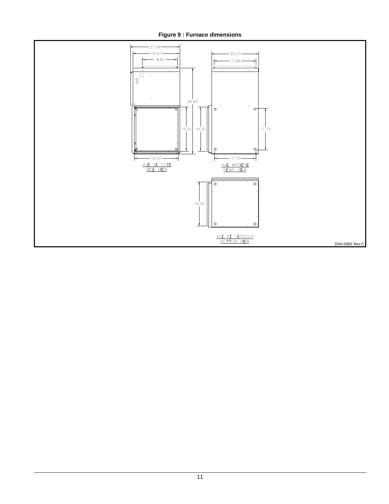**Figure 9 : Furnace dimensions** 

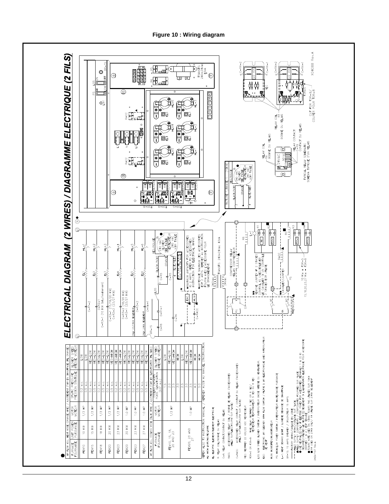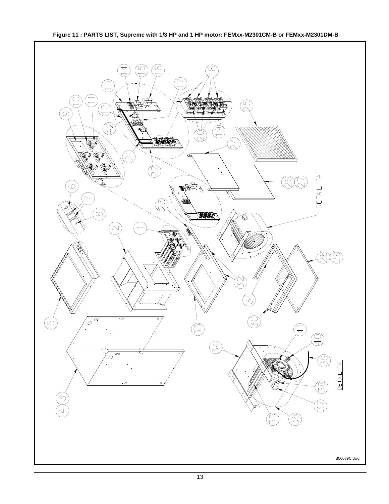